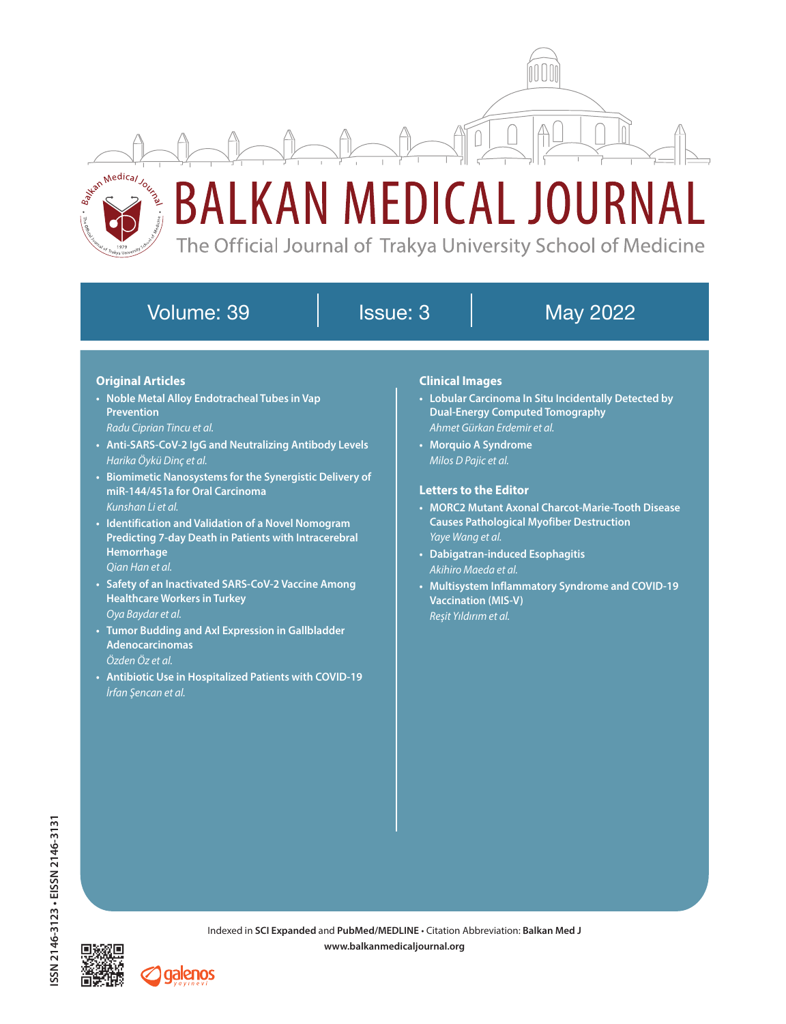

# Volume: 39 Issue: 3 | May 2022

# **Original Articles**

- **• Noble Metal Alloy Endotracheal Tubes in Vap Prevention**
- *Radu Ciprian Tincu et al.*
- **• Anti-SARS-CoV-2 IgG and Neutralizing Antibody Levels** *Harika Öykü Dinç et al.*
- **• Biomimetic Nanosystems for the Synergistic Delivery of miR-144/451a for Oral Carcinoma** *Kunshan Li et al.*
- **• Identification and Validation of a Novel Nomogram Predicting 7-day Death in Patients with Intracerebral Hemorrhage** *Qian Han et al.*
- **• Safety of an Inactivated SARS-CoV-2 Vaccine Among Healthcare Workers in Turkey** *Oya Baydar et al.*
- **• Tumor Budding and Axl Expression in Gallbladder Adenocarcinomas** *Özden Öz et al.*
- **• Antibiotic Use in Hospitalized Patients with COVID-19** *İrfan Şencan et al.*

#### **Clinical Images**

- **• Lobular Carcinoma In Situ Incidentally Detected by Dual-Energy Computed Tomography** *Ahmet Gürkan Erdemir et al.*
- **• Morquio A Syndrome** *Milos D Pajic et al.*

## **Letters to the Editor**

- **• MORC2 Mutant Axonal Charcot-Marie-Tooth Disease Causes Pathological Myofiber Destruction** *Yaye Wang et al.*
- **• Dabigatran-induced Esophagitis** *Akihiro Maeda et al.*
- **• Multisystem Inflammatory Syndrome and COVID-19 Vaccination (MIS-V)** *Reşit Yıldırım et al.*



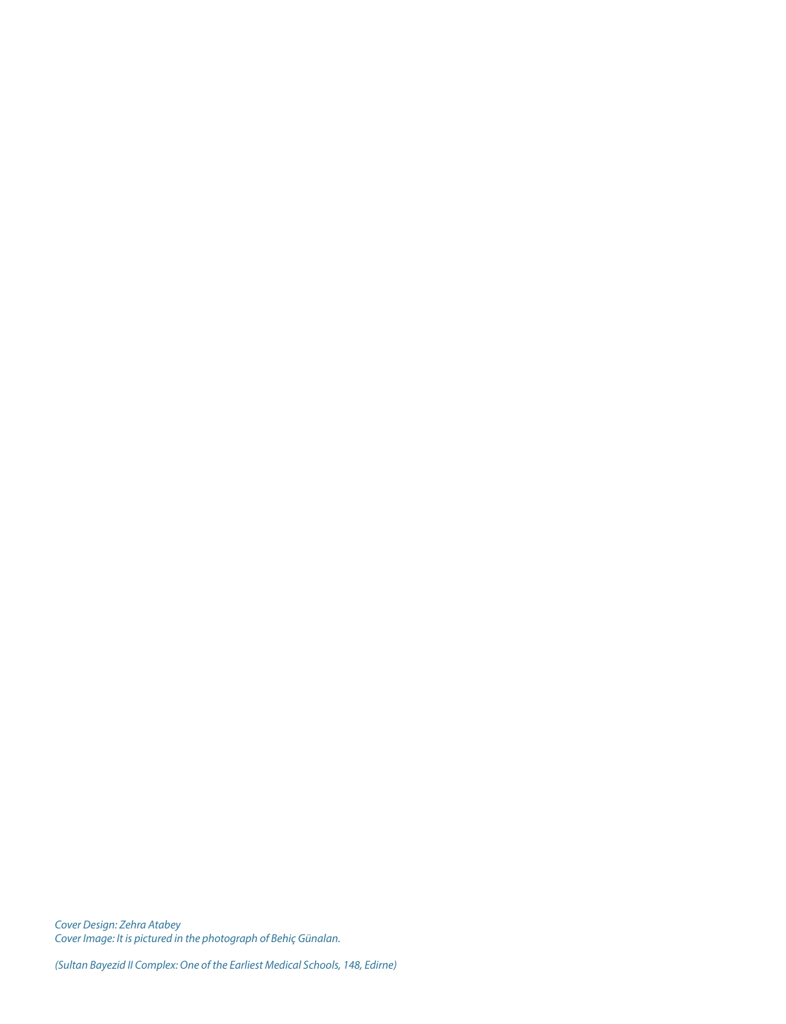*Cover Design: Zehra Atabey Cover Image: It is pictured in the photograph of Behiç Günalan.*

*(Sultan Bayezid II Complex: One of the Earliest Medical Schools, 148, Edirne)*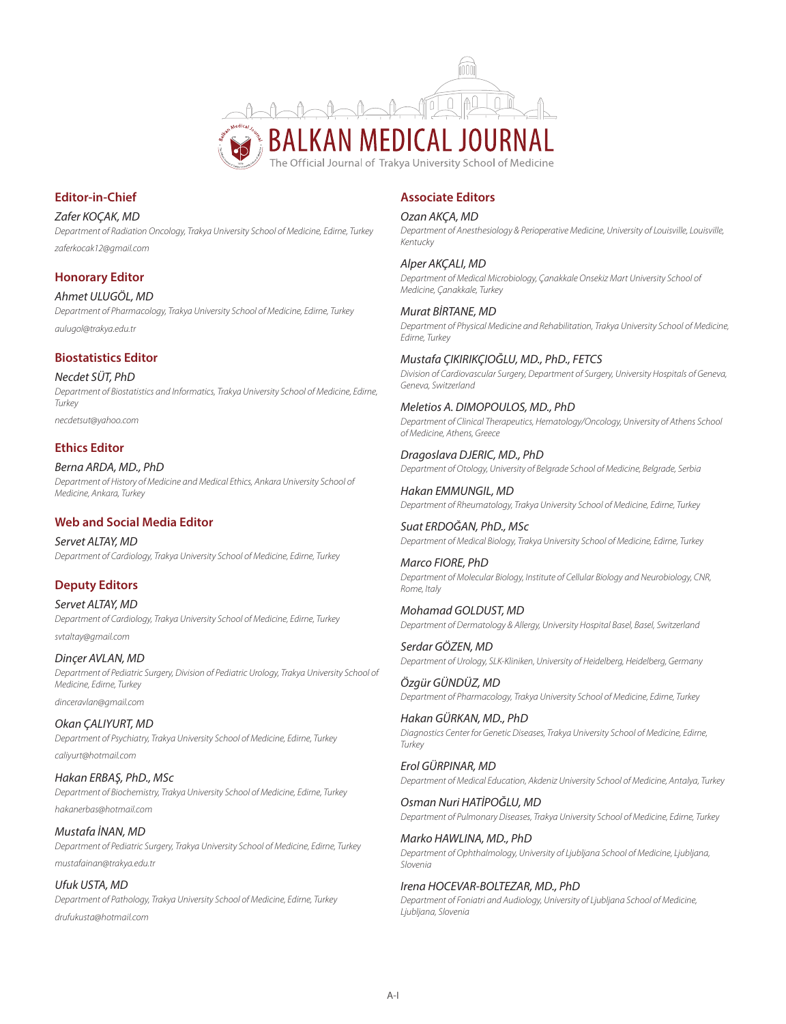

## **Editor-in-Chief**

*Zafer KOÇAK, MD Department of Radiation Oncology, Trakya University School of Medicine, Edirne, Turkey zaferkocak12@gmail.com*

## **Honorary Editor**

*Ahmet ULUGÖL, MD Department of Pharmacology, Trakya University School of Medicine, Edirne, Turkey aulugol@trakya.edu.tr*

#### **Biostatistics Editor**

*Necdet SÜT, PhD Department of Biostatistics and Informatics, Trakya University School of Medicine, Edirne, Turkey necdetsut@yahoo.com*

#### **Ethics Editor**

*Berna ARDA, MD., PhD Department of History of Medicine and Medical Ethics, Ankara University School of Medicine, Ankara, Turkey*

## **Web and Social Media Editor**

*Servet ALTAY, MD Department of Cardiology, Trakya University School of Medicine, Edirne, Turkey*

## **Deputy Editors**

*Servet ALTAY, MD Department of Cardiology, Trakya University School of Medicine, Edirne, Turkey svtaltay@gmail.com*

*Dinçer AVLAN, MD Department of Pediatric Surgery, Division of Pediatric Urology, Trakya University School of Medicine, Edirne, Turkey dinceravlan@gmail.com*

*Okan ÇALIYURT, MD Department of Psychiatry, Trakya University School of Medicine, Edirne, Turkey caliyurt@hotmail.com*

*Hakan ERBAŞ, PhD., MSc Department of Biochemistry, Trakya University School of Medicine, Edirne, Turkey hakanerbas@hotmail.com*

*Mustafa İNAN, MD Department of Pediatric Surgery, Trakya University School of Medicine, Edirne, Turkey mustafainan@trakya.edu.tr*

*Ufuk USTA, MD Department of Pathology, Trakya University School of Medicine, Edirne, Turkey drufukusta@hotmail.com*

# **Associate Editors**

#### *Ozan AKÇA, MD*

*Department of Anesthesiology & Perioperative Medicine, University of Louisville, Louisville, Kentucky*

*Alper AKÇALI, MD Department of Medical Microbiology, Çanakkale Onsekiz Mart University School of Medicine, Çanakkale, Turkey*

*Murat BİRTANE, MD Department of Physical Medicine and Rehabilitation, Trakya University School of Medicine, Edirne, Turkey*

*Mustafa ÇIKIRIKÇIOĞLU, MD., PhD., FETCS Division of Cardiovascular Surgery, Department of Surgery, University Hospitals of Geneva, Geneva, Switzerland*

*Meletios A. DIMOPOULOS, MD., PhD Department of Clinical Therapeutics, Hematology/Oncology, University of Athens School of Medicine, Athens, Greece*

*Dragoslava DJERIC, MD., PhD Department of Otology, University of Belgrade School of Medicine, Belgrade, Serbia*

*Hakan EMMUNGIL, MD Department of Rheumatology, Trakya University School of Medicine, Edirne, Turkey*

*Suat ERDOĞAN, PhD., MSc Department of Medical Biology, Trakya University School of Medicine, Edirne, Turkey*

*Marco FIORE, PhD Department of Molecular Biology, Institute of Cellular Biology and Neurobiology, CNR, Rome, Italy*

*Mohamad GOLDUST, MD Department of Dermatology & Allergy, University Hospital Basel, Basel, Switzerland*

*Serdar GÖZEN, MD Department of Urology, SLK-Kliniken, University of Heidelberg, Heidelberg, Germany*

*Özgür GÜNDÜZ, MD Department of Pharmacology, Trakya University School of Medicine, Edirne, Turkey*

*Hakan GÜRKAN, MD., PhD Diagnostics Center for Genetic Diseases, Trakya University School of Medicine, Edirne, Turkey*

*Erol GÜRPINAR, MD Department of Medical Education, Akdeniz University School of Medicine, Antalya, Turkey*

*Osman Nuri HATİPOĞLU, MD Department of Pulmonary Diseases, Trakya University School of Medicine, Edirne, Turkey*

*Marko HAWLINA, MD., PhD Department of Ophthalmology, University of Ljubljana School of Medicine, Ljubljana, Slovenia*

#### *Irena HOCEVAR-BOLTEZAR, MD., PhD*

*Department of Foniatri and Audiology, University of Ljubljana School of Medicine, Ljubljana, Slovenia*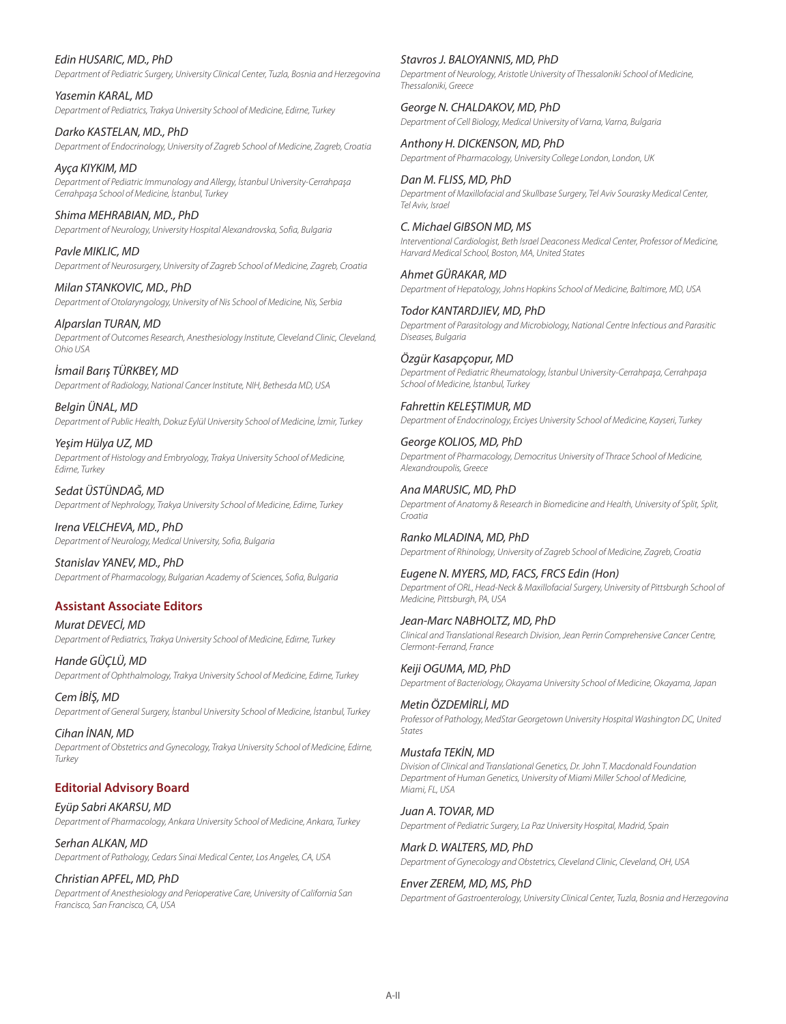# *Edin HUSARIC, MD., PhD*

*Department of Pediatric Surgery, University Clinical Center, Tuzla, Bosnia and Herzegovina*

*Yasemin KARAL, MD Department of Pediatrics, Trakya University School of Medicine, Edirne, Turkey*

*Darko KASTELAN, MD., PhD Department of Endocrinology, University of Zagreb School of Medicine, Zagreb, Croatia*

*Ayça KIYKIM, MD Department of Pediatric Immunology and Allergy, İstanbul University-Cerrahpaşa Cerrahpaşa School of Medicine, İstanbul, Turkey*

*Shima MEHRABIAN, MD., PhD Department of Neurology, University Hospital Alexandrovska, Sofia, Bulgaria*

*Pavle MIKLIC, MD Department of Neurosurgery, University of Zagreb School of Medicine, Zagreb, Croatia*

*Milan STANKOVIC, MD., PhD Department of Otolaryngology, University of Nis School of Medicine, Nis, Serbia*

*Alparslan TURAN, MD Department of Outcomes Research, Anesthesiology Institute, Cleveland Clinic, Cleveland, Ohio USA*

*İsmail Barış TÜRKBEY, MD Department of Radiology, National Cancer Institute, NIH, Bethesda MD, USA*

*Belgin ÜNAL, MD Department of Public Health, Dokuz Eylül University School of Medicine, İzmir, Turkey*

*Yeşim Hülya UZ, MD Department of Histology and Embryology, Trakya University School of Medicine, Edirne, Turkey*

*Sedat ÜSTÜNDAĞ, MD Department of Nephrology, Trakya University School of Medicine, Edirne, Turkey*

*Irena VELCHEVA, MD., PhD Department of Neurology, Medical University, Sofia, Bulgaria*

*Stanislav YANEV, MD., PhD Department of Pharmacology, Bulgarian Academy of Sciences, Sofia, Bulgaria*

# **Assistant Associate Editors**

*Murat DEVECİ, MD Department of Pediatrics, Trakya University School of Medicine, Edirne, Turkey*

*Hande GÜÇLÜ, MD Department of Ophthalmology, Trakya University School of Medicine, Edirne, Turkey*

*Cem İBİŞ, MD Department of General Surgery, İstanbul University School of Medicine, İstanbul, Turkey*

*Cihan İNAN, MD Department of Obstetrics and Gynecology, Trakya University School of Medicine, Edirne, Turkey*

# **Editorial Advisory Board**

*Eyüp Sabri AKARSU, MD Department of Pharmacology, Ankara University School of Medicine, Ankara, Turkey*

*Serhan ALKAN, MD Department of Pathology, Cedars Sinai Medical Center, Los Angeles, CA, USA*

*Christian APFEL, MD, PhD Department of Anesthesiology and Perioperative Care, University of California San Francisco, San Francisco, CA, USA*

*Stavros J. BALOYANNIS, MD, PhD*

*Department of Neurology, Aristotle University of Thessaloniki School of Medicine, Thessaloniki, Greece*

*George N. CHALDAKOV, MD, PhD Department of Cell Biology, Medical University of Varna, Varna, Bulgaria*

*Anthony H. DICKENSON, MD, PhD Department of Pharmacology, University College London, London, UK*

*Dan M. FLISS, MD, PhD Department of Maxillofacial and Skullbase Surgery, Tel Aviv Sourasky Medical Center, Tel Aviv, Israel*

*C. Michael GIBSON MD, MS Interventional Cardiologist, Beth Israel Deaconess Medical Center, Professor of Medicine, Harvard Medical School, Boston, MA, United States*

*Ahmet GÜRAKAR, MD Department of Hepatology, Johns Hopkins School of Medicine, Baltimore, MD, USA*

*Todor KANTARDJIEV, MD, PhD Department of Parasitology and Microbiology, National Centre Infectious and Parasitic Diseases, Bulgaria*

*Özgür Kasapçopur, MD Department of Pediatric Rheumatology, İstanbul University-Cerrahpaşa, Cerrahpaşa School of Medicine, İstanbul, Turkey*

*Fahrettin KELEŞTIMUR, MD Department of Endocrinology, Erciyes University School of Medicine, Kayseri, Turkey*

*George KOLIOS, MD, PhD Department of Pharmacology, Democritus University of Thrace School of Medicine, Alexandroupolis, Greece*

*Ana MARUSIC, MD, PhD Department of Anatomy & Research in Biomedicine and Health, University of Split, Split, Croatia*

*Ranko MLADINA, MD, PhD Department of Rhinology, University of Zagreb School of Medicine, Zagreb, Croatia*

*Eugene N. MYERS, MD, FACS, FRCS Edin (Hon) Department of ORL, Head-Neck & Maxillofacial Surgery, University of Pittsburgh School of Medicine, Pittsburgh, PA, USA*

*Jean-Marc NABHOLTZ, MD, PhD Clinical and Translational Research Division, Jean Perrin Comprehensive Cancer Centre, Clermont-Ferrand, France*

*Keiji OGUMA, MD, PhD Department of Bacteriology, Okayama University School of Medicine, Okayama, Japan*

*Metin ÖZDEMİRLİ, MD Professor of Pathology, MedStar Georgetown University Hospital Washington DC, United States*

*Mustafa TEKİN, MD Division of Clinical and Translational Genetics, Dr. John T. Macdonald Foundation Department of Human Genetics, University of Miami Miller School of Medicine, Miami, FL, USA*

*Juan A. TOVAR, MD Department of Pediatric Surgery, La Paz University Hospital, Madrid, Spain*

*Mark D. WALTERS, MD, PhD Department of Gynecology and Obstetrics, Cleveland Clinic, Cleveland, OH, USA*

*Enver ZEREM, MD, MS, PhD Department of Gastroenterology, University Clinical Center, Tuzla, Bosnia and Herzegovina*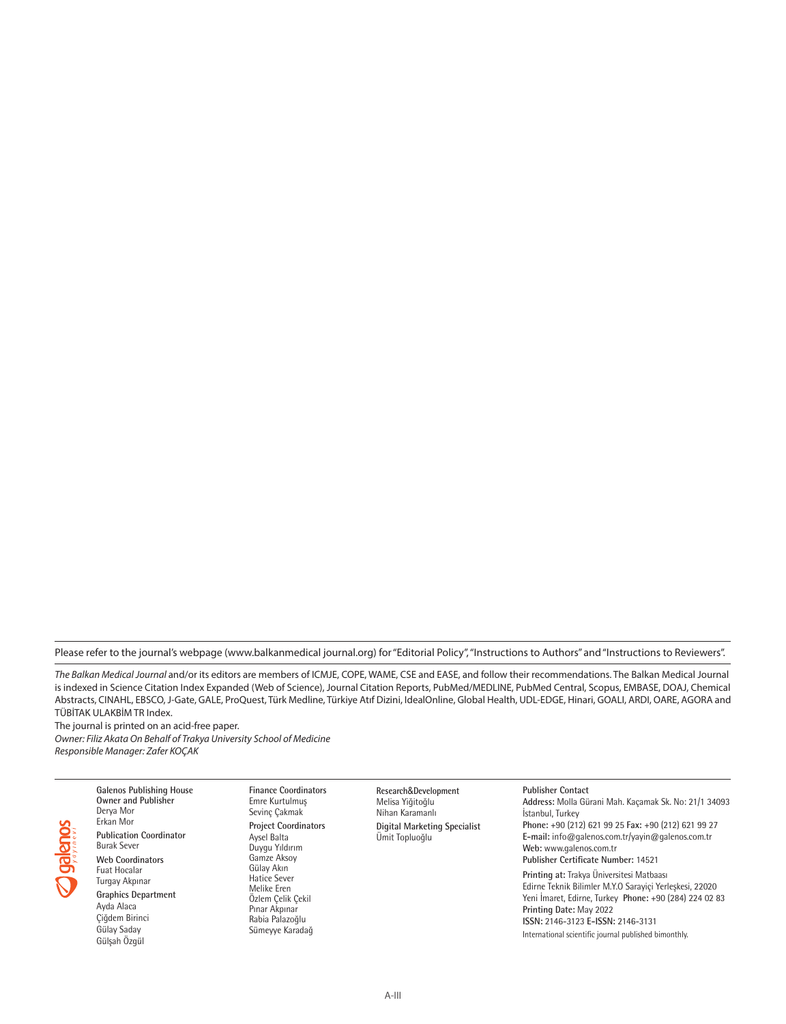Please refer to the journal's webpage (www.balkanmedical journal.org) for "Editorial Policy", "Instructions to Authors" and "Instructions to Reviewers".

*The Balkan Medical Journal* and/or its editors are members of ICMJE, COPE, WAME, CSE and EASE, and follow their recommendations. The Balkan Medical Journal is indexed in Science Citation Index Expanded (Web of Science), Journal Citation Reports, PubMed/MEDLINE, PubMed Central, Scopus, EMBASE, DOAJ, Chemical Abstracts, CINAHL, EBSCO, J-Gate, GALE, ProQuest, Türk Medline, Türkiye Atıf Dizini, IdealOnline, Global Health, UDL-EDGE, Hinari, GOALI, ARDI, OARE, AGORA and TÜBİTAK ULAKBİM TR Index.

The journal is printed on an acid-free paper. *Owner: Filiz Akata On Behalf of Trakya University School of Medicine Responsible Manager: Zafer KOÇAK*



**Owner and Publisher** Derya Mor Erkan Mor **Publication Coordinator** Burak Sever **Web Coordinators** Fuat Hocalar Turgay Akpınar **Graphics Department** Ayda Alaca Çiğdem Birinci Gülay Saday Gülşah Özgül

**Galenos Publishing House** 

**Finance Coordinators** Emre Kurtulmuş Sevinç Çakmak **Project Coordinators** Aysel Balta Duygu Yıldırım Gamze Aksoy Gülay Akın Hatice Sever Melike Eren Özlem Çelik Çekil Pınar Akpınar Rabia Palazoğlu Sümeyye Karadağ

**Research**&**Development** Melisa Yiğitoğlu Nihan Karamanlı **Digital Marketing Specialist** Ümit Topluoğlu

**Publisher Contact Address:** Molla Gürani Mah. Kaçamak Sk. No: 21/1 34093 İstanbul, Turkey **Phone:** +90 (212) 621 99 25 **Fax:** +90 (212) 621 99 27 **E-mail:** info@galenos.com.tr/yayin@galenos.com.tr **Web:** www.galenos.com.tr **Publisher Certificate Number:** 14521 **Printing at:** Trakya Üniversitesi Matbaası Edirne Teknik Bilimler M.Y.O Sarayiçi Yerleşkesi, 22020 Yeni İmaret, Edirne, Turkey **Phone:** +90 (284) 224 02 83 **Printing Date:** May 2022 **ISSN:** 2146-3123 **E-ISSN:** 2146-3131 International scientific journal published bimonthly.